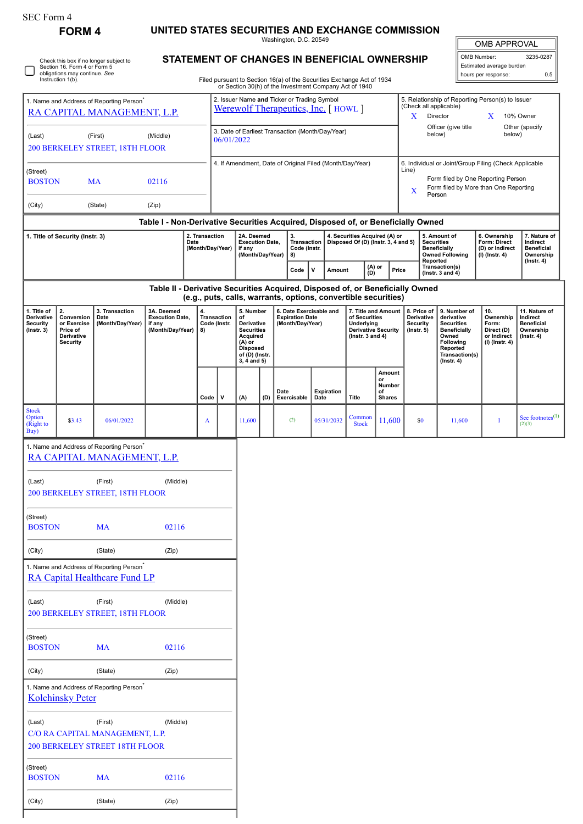| SEC Form 4                             |                                                                            |
|----------------------------------------|----------------------------------------------------------------------------|
| <b>FORM 4</b>                          | UNITED STATES SECURITIES AND EXCHANGE COMMISSION<br>Washington, D.C. 20549 |
| Check this box if no longer subject to | <b>STATEMENT OF CHANGES IN BENEFICIAL OWNERSHIP</b>                        |

Check this box if no longer subject to Section 16. Form 4 or Form 5 obligations may continue. *See* Instruction 1(b).

| <b>OMB APPROVAL</b> |
|---------------------|

| OMB Number:              | 3235-0287 |
|--------------------------|-----------|
| Estimated average burden |           |
| hours per response:      | ሰ 5       |

|                                                                                                                                                                   | Instruction 1(b).       |                                                                                       |                                                                               |  |                                                                                                                                             |             |                                                                                                             |                                          | Filed pursuant to Section 16(a) of the Securities Exchange Act of 1934 |                                            |                                                                      |                                                                            |                                                                                 |                                                   |                                                                   |                                                                                                                  |                                                        |                                                    |  |
|-------------------------------------------------------------------------------------------------------------------------------------------------------------------|-------------------------|---------------------------------------------------------------------------------------|-------------------------------------------------------------------------------|--|---------------------------------------------------------------------------------------------------------------------------------------------|-------------|-------------------------------------------------------------------------------------------------------------|------------------------------------------|------------------------------------------------------------------------|--------------------------------------------|----------------------------------------------------------------------|----------------------------------------------------------------------------|---------------------------------------------------------------------------------|---------------------------------------------------|-------------------------------------------------------------------|------------------------------------------------------------------------------------------------------------------|--------------------------------------------------------|----------------------------------------------------|--|
| 1. Name and Address of Reporting Person <sup>®</sup><br>RA CAPITAL MANAGEMENT, L.P.                                                                               |                         |                                                                                       |                                                                               |  | or Section 30(h) of the Investment Company Act of 1940<br>2. Issuer Name and Ticker or Trading Symbol<br>Werewolf Therapeutics, Inc. [HOWL] |             |                                                                                                             |                                          |                                                                        |                                            |                                                                      |                                                                            | 5. Relationship of Reporting Person(s) to Issuer<br>(Check all applicable)<br>X |                                                   |                                                                   |                                                                                                                  |                                                        |                                                    |  |
| (Last)<br>(First)<br>(Middle)<br>06/01/2022<br>200 BERKELEY STREET, 18TH FLOOR                                                                                    |                         |                                                                                       |                                                                               |  | 3. Date of Earliest Transaction (Month/Day/Year)                                                                                            |             |                                                                                                             |                                          |                                                                        |                                            |                                                                      |                                                                            |                                                                                 | Director<br>Officer (give title<br>below)         | X<br>below)                                                       | 10% Owner<br>Other (specify                                                                                      |                                                        |                                                    |  |
|                                                                                                                                                                   |                         |                                                                                       |                                                                               |  |                                                                                                                                             |             |                                                                                                             |                                          |                                                                        |                                            |                                                                      |                                                                            |                                                                                 |                                                   |                                                                   |                                                                                                                  | 6. Individual or Joint/Group Filing (Check Applicable  |                                                    |  |
| (Street)                                                                                                                                                          |                         |                                                                                       |                                                                               |  | 4. If Amendment, Date of Original Filed (Month/Day/Year)                                                                                    |             |                                                                                                             |                                          |                                                                        |                                            |                                                                      |                                                                            | Line)<br>Form filed by One Reporting Person                                     |                                                   |                                                                   |                                                                                                                  |                                                        |                                                    |  |
| 02116<br><b>BOSTON</b><br><b>MA</b>                                                                                                                               |                         |                                                                                       |                                                                               |  |                                                                                                                                             |             |                                                                                                             |                                          |                                                                        |                                            |                                                                      |                                                                            | Form filed by More than One Reporting<br>X<br>Person                            |                                                   |                                                                   |                                                                                                                  |                                                        |                                                    |  |
| (City)                                                                                                                                                            |                         | (State)                                                                               | (Zip)                                                                         |  |                                                                                                                                             |             |                                                                                                             |                                          |                                                                        |                                            |                                                                      |                                                                            |                                                                                 |                                                   |                                                                   |                                                                                                                  |                                                        |                                                    |  |
| Table I - Non-Derivative Securities Acquired, Disposed of, or Beneficially Owned<br>2. Transaction<br>1. Title of Security (Instr. 3)<br>Date<br>(Month/Day/Year) |                         |                                                                                       |                                                                               |  | 2A. Deemed<br><b>Execution Date,</b><br>if any                                                                                              |             | 3.                                                                                                          | <b>Transaction</b><br>Code (Instr.<br>8) |                                                                        |                                            | 4. Securities Acquired (A) or<br>Disposed Of (D) (Instr. 3, 4 and 5) |                                                                            | <b>Securities</b>                                                               | 5. Amount of<br><b>Beneficially</b>               | 6. Ownership<br>Form: Direct<br>(D) or Indirect                   | 7. Nature of<br>Indirect<br><b>Beneficial</b>                                                                    |                                                        |                                                    |  |
|                                                                                                                                                                   |                         |                                                                                       |                                                                               |  |                                                                                                                                             |             | (Month/Day/Year)                                                                                            | $Code \vert$                             | ۱v                                                                     | (A) or<br>Amount<br>(D)                    |                                                                      |                                                                            | Reported<br>Price                                                               |                                                   | <b>Owned Following</b><br>Transaction(s)<br>(Instr. $3$ and $4$ ) | (I) (Instr. 4)                                                                                                   | Ownership<br>$($ Instr. 4 $)$                          |                                                    |  |
|                                                                                                                                                                   |                         |                                                                                       | Table II - Derivative Securities Acquired, Disposed of, or Beneficially Owned |  |                                                                                                                                             |             |                                                                                                             |                                          | (e.g., puts, calls, warrants, options, convertible securities)         |                                            |                                                                      |                                                                            |                                                                                 |                                                   |                                                                   |                                                                                                                  |                                                        |                                                    |  |
| 1. Title of<br>Derivative                                                                                                                                         | 2.<br>Conversion        | 3. Transaction                                                                        | 3A. Deemed<br><b>Execution Date,</b>                                          |  | 4.                                                                                                                                          |             | 5. Number<br>of                                                                                             |                                          | 6. Date Exercisable and                                                |                                            |                                                                      | 7. Title and Amount                                                        |                                                                                 |                                                   | 8. Price of                                                       | 9. Number of<br>derivative                                                                                       | 10.<br>Ownership                                       | 11. Nature of<br>Indirect                          |  |
| <b>Security</b><br>or Exercise<br>$($ Instr. 3 $)$<br>Price of<br>Derivative<br><b>Security</b>                                                                   |                         | Date<br>(Month/Day/Year)                                                              | if any<br>(Month/Day/Year)                                                    |  | Transaction<br>Code (Instr.<br>8)                                                                                                           |             | Derivative<br><b>Securities</b><br>Acquired<br>$(A)$ or<br><b>Disposed</b><br>of (D) (Instr.<br>3, 4 and 5) |                                          |                                                                        | <b>Expiration Date</b><br>(Month/Day/Year) |                                                                      | of Securities<br>Underlying<br>Derivative Security<br>( $lnstr. 3 and 4$ ) |                                                                                 | Derivative<br><b>Security</b><br>$($ Instr. 5 $)$ |                                                                   | <b>Securities</b><br><b>Beneficially</b><br>Owned<br>Following<br>Reported<br>Transaction(s)<br>$($ Instr. 4 $)$ | Form:<br>Direct (D)<br>or Indirect<br>$(I)$ (Instr. 4) | <b>Beneficial</b><br>Ownership<br>$($ Instr. 4 $)$ |  |
|                                                                                                                                                                   |                         |                                                                                       |                                                                               |  | Code                                                                                                                                        | $\mathbf v$ | (A)                                                                                                         | (D)                                      | Date<br>Exercisable                                                    | Date                                       | Expiration                                                           | <b>Title</b>                                                               | Amount<br>or<br>Number<br>of<br><b>Shares</b>                                   |                                                   |                                                                   |                                                                                                                  |                                                        |                                                    |  |
| <b>Stock</b><br>Option<br>(Right to<br>Buy)                                                                                                                       | \$3.43                  | 06/01/2022                                                                            |                                                                               |  | A                                                                                                                                           |             | 11,600                                                                                                      |                                          | (2)                                                                    |                                            | 05/31/2032                                                           | Common<br><b>Stock</b>                                                     | 11,600                                                                          |                                                   | \$0                                                               | 11,600                                                                                                           | I                                                      | See footnotes $^{(1)}$<br>(2)(3)                   |  |
|                                                                                                                                                                   |                         | 1. Name and Address of Reporting Person <sup>®</sup><br>RA CAPITAL MANAGEMENT, L.P.   |                                                                               |  |                                                                                                                                             |             |                                                                                                             |                                          |                                                                        |                                            |                                                                      |                                                                            |                                                                                 |                                                   |                                                                   |                                                                                                                  |                                                        |                                                    |  |
| (Last)                                                                                                                                                            |                         | (First)<br><b>200 BERKELEY STREET, 18TH FLOOR</b>                                     | (Middle)                                                                      |  |                                                                                                                                             |             |                                                                                                             |                                          |                                                                        |                                            |                                                                      |                                                                            |                                                                                 |                                                   |                                                                   |                                                                                                                  |                                                        |                                                    |  |
| (Street)<br><b>BOSTON</b>                                                                                                                                         |                         | <b>MA</b>                                                                             | 02116                                                                         |  |                                                                                                                                             |             |                                                                                                             |                                          |                                                                        |                                            |                                                                      |                                                                            |                                                                                 |                                                   |                                                                   |                                                                                                                  |                                                        |                                                    |  |
| (City)                                                                                                                                                            |                         | (State)                                                                               | (Zip)                                                                         |  |                                                                                                                                             |             |                                                                                                             |                                          |                                                                        |                                            |                                                                      |                                                                            |                                                                                 |                                                   |                                                                   |                                                                                                                  |                                                        |                                                    |  |
|                                                                                                                                                                   |                         | 1. Name and Address of Reporting Person <sup>*</sup><br>RA Capital Healthcare Fund LP |                                                                               |  |                                                                                                                                             |             |                                                                                                             |                                          |                                                                        |                                            |                                                                      |                                                                            |                                                                                 |                                                   |                                                                   |                                                                                                                  |                                                        |                                                    |  |
| (Last)                                                                                                                                                            |                         | (First)<br>200 BERKELEY STREET, 18TH FLOOR                                            | (Middle)                                                                      |  |                                                                                                                                             |             |                                                                                                             |                                          |                                                                        |                                            |                                                                      |                                                                            |                                                                                 |                                                   |                                                                   |                                                                                                                  |                                                        |                                                    |  |
| (Street)<br><b>BOSTON</b>                                                                                                                                         |                         | <b>MA</b>                                                                             | 02116                                                                         |  |                                                                                                                                             |             |                                                                                                             |                                          |                                                                        |                                            |                                                                      |                                                                            |                                                                                 |                                                   |                                                                   |                                                                                                                  |                                                        |                                                    |  |
| (City)                                                                                                                                                            |                         | (State)                                                                               | (Zip)                                                                         |  |                                                                                                                                             |             |                                                                                                             |                                          |                                                                        |                                            |                                                                      |                                                                            |                                                                                 |                                                   |                                                                   |                                                                                                                  |                                                        |                                                    |  |
|                                                                                                                                                                   | <b>Kolchinsky Peter</b> | 1. Name and Address of Reporting Person <sup>*</sup>                                  |                                                                               |  |                                                                                                                                             |             |                                                                                                             |                                          |                                                                        |                                            |                                                                      |                                                                            |                                                                                 |                                                   |                                                                   |                                                                                                                  |                                                        |                                                    |  |
| (Last)                                                                                                                                                            |                         | (First)<br>C/O RA CAPITAL MANAGEMENT, L.P.<br>200 BERKELEY STREET 18TH FLOOR          | (Middle)                                                                      |  |                                                                                                                                             |             |                                                                                                             |                                          |                                                                        |                                            |                                                                      |                                                                            |                                                                                 |                                                   |                                                                   |                                                                                                                  |                                                        |                                                    |  |
| (Street)<br><b>BOSTON</b>                                                                                                                                         |                         | <b>MA</b>                                                                             | 02116                                                                         |  |                                                                                                                                             |             |                                                                                                             |                                          |                                                                        |                                            |                                                                      |                                                                            |                                                                                 |                                                   |                                                                   |                                                                                                                  |                                                        |                                                    |  |
| (City)                                                                                                                                                            |                         | (State)                                                                               | (Zip)                                                                         |  |                                                                                                                                             |             |                                                                                                             |                                          |                                                                        |                                            |                                                                      |                                                                            |                                                                                 |                                                   |                                                                   |                                                                                                                  |                                                        |                                                    |  |